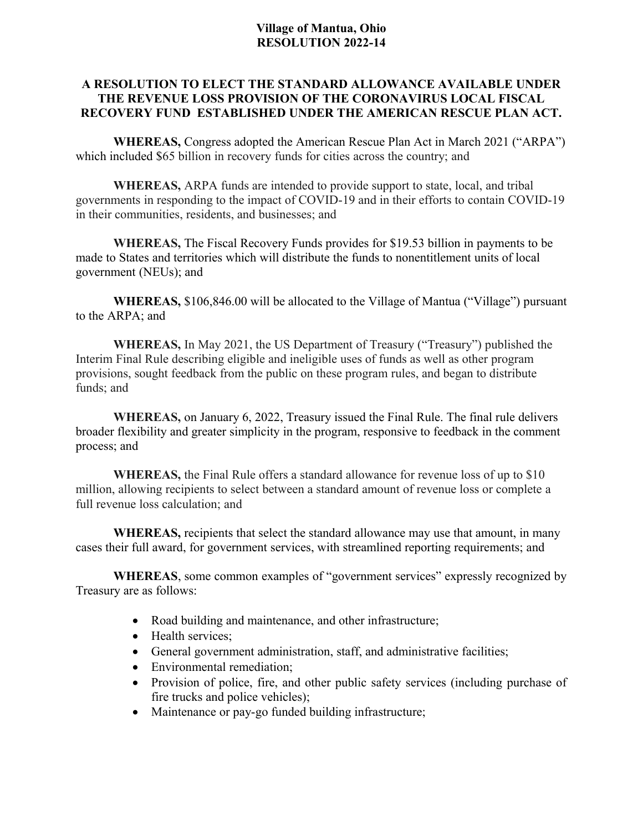## **Village of Mantua, Ohio RESOLUTION 2022-14**

# **A RESOLUTION TO ELECT THE STANDARD ALLOWANCE AVAILABLE UNDER THE REVENUE LOSS PROVISION OF THE CORONAVIRUS LOCAL FISCAL RECOVERY FUND ESTABLISHED UNDER THE AMERICAN RESCUE PLAN ACT.**

**WHEREAS,** Congress adopted the American Rescue Plan Act in March 2021 ("ARPA") which included \$65 billion in recovery funds for cities across the country; and

**WHEREAS,** ARPA funds are intended to provide support to state, local, and tribal governments in responding to the impact of COVID-19 and in their efforts to contain COVID-19 in their communities, residents, and businesses; and

**WHEREAS,** The Fiscal Recovery Funds provides for \$19.53 billion in payments to be made to States and territories which will distribute the funds to nonentitlement units of local government (NEUs); and

**WHEREAS,** \$106,846.00 will be allocated to the Village of Mantua ("Village") pursuant to the ARPA; and

**WHEREAS,** In May 2021, the US Department of Treasury ("Treasury") published the Interim Final Rule describing eligible and ineligible uses of funds as well as other program provisions, sought feedback from the public on these program rules, and began to distribute funds; and

**WHEREAS,** on January 6, 2022, Treasury issued the Final Rule. The final rule delivers broader flexibility and greater simplicity in the program, responsive to feedback in the comment process; and

**WHEREAS,** the Final Rule offers a standard allowance for revenue loss of up to \$10 million, allowing recipients to select between a standard amount of revenue loss or complete a full revenue loss calculation; and

**WHEREAS,** recipients that select the standard allowance may use that amount, in many cases their full award, for government services, with streamlined reporting requirements; and

**WHEREAS**, some common examples of "government services" expressly recognized by Treasury are as follows:

- Road building and maintenance, and other infrastructure;
- Health services;
- General government administration, staff, and administrative facilities;
- Environmental remediation;
- Provision of police, fire, and other public safety services (including purchase of fire trucks and police vehicles);
- Maintenance or pay-go funded building infrastructure;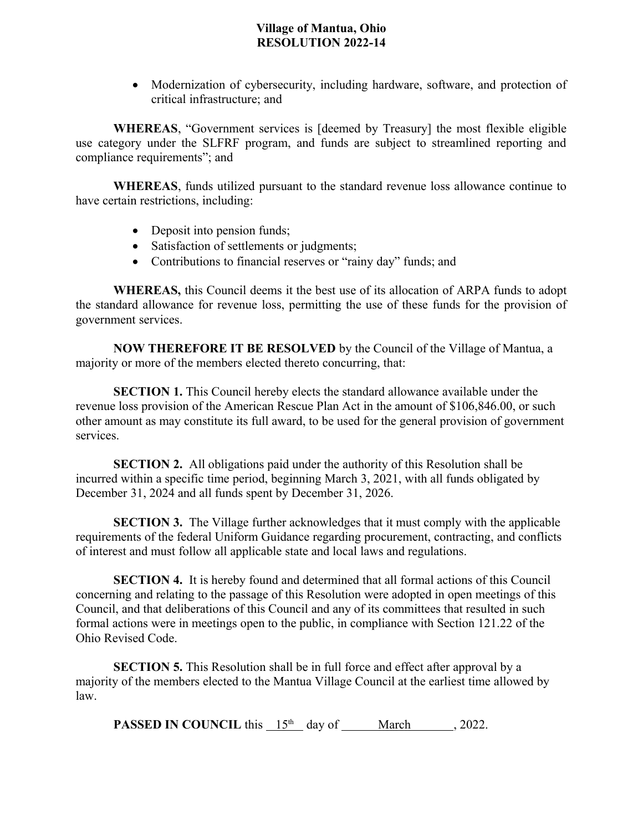## **Village of Mantua, Ohio RESOLUTION 2022-14**

• Modernization of cybersecurity, including hardware, software, and protection of critical infrastructure; and

**WHEREAS**, "Government services is [deemed by Treasury] the most flexible eligible use category under the SLFRF program, and funds are subject to streamlined reporting and compliance requirements"; and

**WHEREAS**, funds utilized pursuant to the standard revenue loss allowance continue to have certain restrictions, including:

- Deposit into pension funds;
- Satisfaction of settlements or judgments;
- Contributions to financial reserves or "rainy day" funds; and

**WHEREAS,** this Council deems it the best use of its allocation of ARPA funds to adopt the standard allowance for revenue loss, permitting the use of these funds for the provision of government services.

**NOW THEREFORE IT BE RESOLVED** by the Council of the Village of Mantua, a majority or more of the members elected thereto concurring, that:

**SECTION 1.** This Council hereby elects the standard allowance available under the revenue loss provision of the American Rescue Plan Act in the amount of \$106,846.00, or such other amount as may constitute its full award, to be used for the general provision of government services.

**SECTION 2.** All obligations paid under the authority of this Resolution shall be incurred within a specific time period, beginning March 3, 2021, with all funds obligated by December 31, 2024 and all funds spent by December 31, 2026.

**SECTION 3.** The Village further acknowledges that it must comply with the applicable requirements of the federal Uniform Guidance regarding procurement, contracting, and conflicts of interest and must follow all applicable state and local laws and regulations.

**SECTION 4.** It is hereby found and determined that all formal actions of this Council concerning and relating to the passage of this Resolution were adopted in open meetings of this Council, and that deliberations of this Council and any of its committees that resulted in such formal actions were in meetings open to the public, in compliance with Section 121.22 of the Ohio Revised Code.

**SECTION 5.** This Resolution shall be in full force and effect after approval by a majority of the members elected to the Mantua Village Council at the earliest time allowed by law.

**PASSED IN COUNCIL** this  $15<sup>th</sup>$  day of <u>March</u>, 2022.